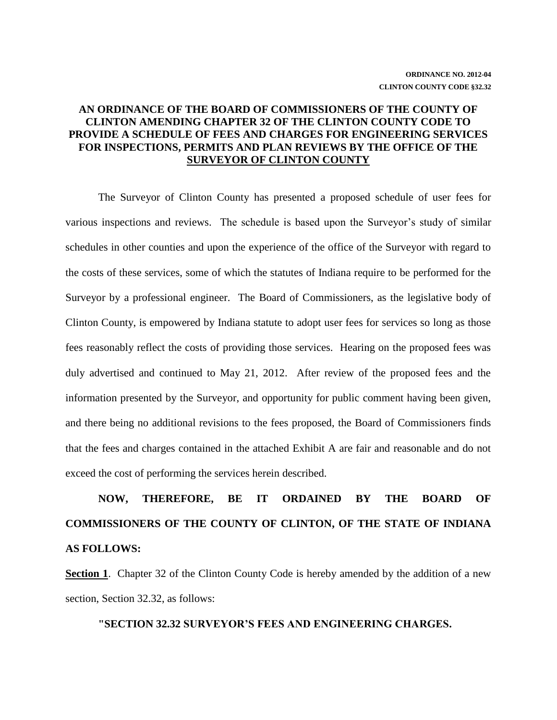# **AN ORDINANCE OF THE BOARD OF COMMISSIONERS OF THE COUNTY OF CLINTON AMENDING CHAPTER 32 OF THE CLINTON COUNTY CODE TO PROVIDE A SCHEDULE OF FEES AND CHARGES FOR ENGINEERING SERVICES FOR INSPECTIONS, PERMITS AND PLAN REVIEWS BY THE OFFICE OF THE SURVEYOR OF CLINTON COUNTY**

The Surveyor of Clinton County has presented a proposed schedule of user fees for various inspections and reviews. The schedule is based upon the Surveyor's study of similar schedules in other counties and upon the experience of the office of the Surveyor with regard to the costs of these services, some of which the statutes of Indiana require to be performed for the Surveyor by a professional engineer. The Board of Commissioners, as the legislative body of Clinton County, is empowered by Indiana statute to adopt user fees for services so long as those fees reasonably reflect the costs of providing those services. Hearing on the proposed fees was duly advertised and continued to May 21, 2012. After review of the proposed fees and the information presented by the Surveyor, and opportunity for public comment having been given, and there being no additional revisions to the fees proposed, the Board of Commissioners finds that the fees and charges contained in the attached Exhibit A are fair and reasonable and do not exceed the cost of performing the services herein described.

# **NOW, THEREFORE, BE IT ORDAINED BY THE BOARD OF COMMISSIONERS OF THE COUNTY OF CLINTON, OF THE STATE OF INDIANA AS FOLLOWS:**

**Section 1**. Chapter 32 of the Clinton County Code is hereby amended by the addition of a new section, Section 32.32, as follows:

#### **"SECTION 32.32 SURVEYOR'S FEES AND ENGINEERING CHARGES.**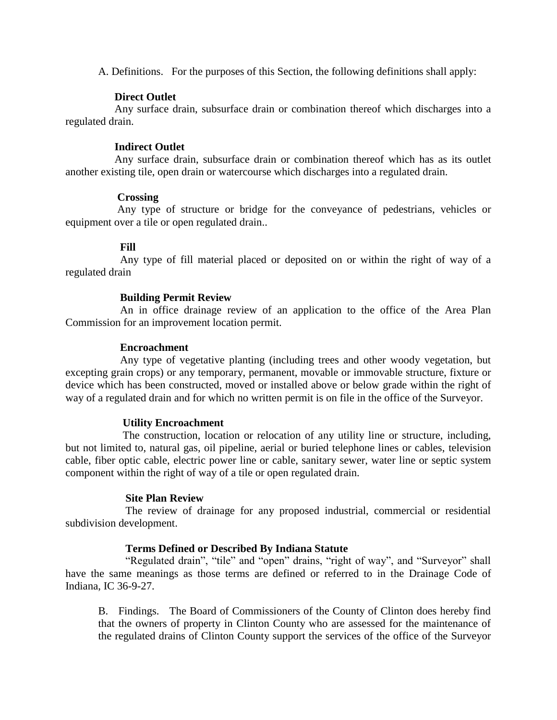A. Definitions. For the purposes of this Section, the following definitions shall apply:

## **Direct Outlet**

 Any surface drain, subsurface drain or combination thereof which discharges into a regulated drain.

## **Indirect Outlet**

 Any surface drain, subsurface drain or combination thereof which has as its outlet another existing tile, open drain or watercourse which discharges into a regulated drain.

## **Crossing**

 Any type of structure or bridge for the conveyance of pedestrians, vehicles or equipment over a tile or open regulated drain..

## **Fill**

 Any type of fill material placed or deposited on or within the right of way of a regulated drain

## **Building Permit Review**

An in office drainage review of an application to the office of the Area Plan Commission for an improvement location permit.

## **Encroachment**

 Any type of vegetative planting (including trees and other woody vegetation, but excepting grain crops) or any temporary, permanent, movable or immovable structure, fixture or device which has been constructed, moved or installed above or below grade within the right of way of a regulated drain and for which no written permit is on file in the office of the Surveyor.

## **Utility Encroachment**

 The construction, location or relocation of any utility line or structure, including, but not limited to, natural gas, oil pipeline, aerial or buried telephone lines or cables, television cable, fiber optic cable, electric power line or cable, sanitary sewer, water line or septic system component within the right of way of a tile or open regulated drain.

#### **Site Plan Review**

 The review of drainage for any proposed industrial, commercial or residential subdivision development.

## **Terms Defined or Described By Indiana Statute**

 "Regulated drain", "tile" and "open" drains, "right of way", and "Surveyor" shall have the same meanings as those terms are defined or referred to in the Drainage Code of Indiana, IC 36-9-27.

B. Findings. The Board of Commissioners of the County of Clinton does hereby find that the owners of property in Clinton County who are assessed for the maintenance of the regulated drains of Clinton County support the services of the office of the Surveyor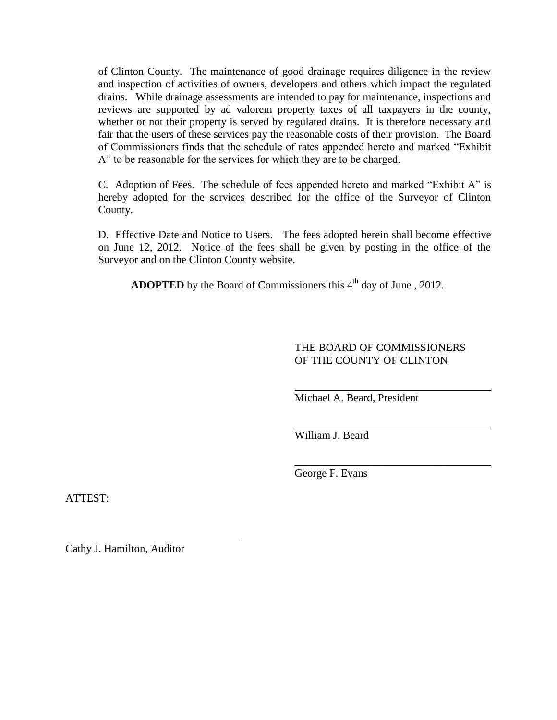of Clinton County. The maintenance of good drainage requires diligence in the review and inspection of activities of owners, developers and others which impact the regulated drains. While drainage assessments are intended to pay for maintenance, inspections and reviews are supported by ad valorem property taxes of all taxpayers in the county, whether or not their property is served by regulated drains. It is therefore necessary and fair that the users of these services pay the reasonable costs of their provision. The Board of Commissioners finds that the schedule of rates appended hereto and marked "Exhibit A" to be reasonable for the services for which they are to be charged.

C. Adoption of Fees. The schedule of fees appended hereto and marked "Exhibit A" is hereby adopted for the services described for the office of the Surveyor of Clinton County.

D. Effective Date and Notice to Users. The fees adopted herein shall become effective on June 12, 2012. Notice of the fees shall be given by posting in the office of the Surveyor and on the Clinton County website.

**ADOPTED** by the Board of Commissioners this  $4<sup>th</sup>$  day of June, 2012.

# THE BOARD OF COMMISSIONERS OF THE COUNTY OF CLINTON

\_\_\_\_\_\_\_\_\_\_\_\_\_\_\_\_\_\_\_\_\_\_\_\_\_\_\_\_\_\_\_\_\_\_\_\_

Michael A. Beard, President

William J. Beard

George F. Evans

ATTEST:

Cathy J. Hamilton, Auditor

\_\_\_\_\_\_\_\_\_\_\_\_\_\_\_\_\_\_\_\_\_\_\_\_\_\_\_\_\_\_\_\_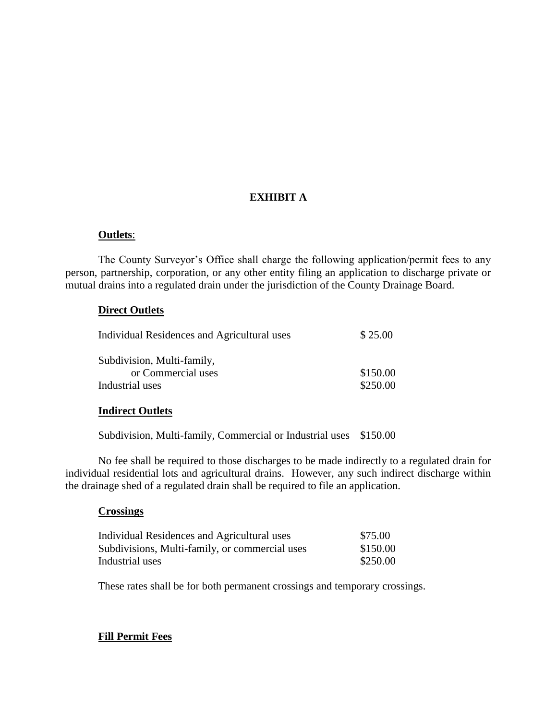# **EXHIBIT A**

## **Outlets**:

The County Surveyor's Office shall charge the following application/permit fees to any person, partnership, corporation, or any other entity filing an application to discharge private or mutual drains into a regulated drain under the jurisdiction of the County Drainage Board.

## **Direct Outlets**

| <b>Individual Residences and Agricultural uses</b> | \$25.00  |
|----------------------------------------------------|----------|
| Subdivision, Multi-family,                         |          |
| or Commercial uses                                 | \$150.00 |
| Industrial uses                                    | \$250.00 |

#### **Indirect Outlets**

Subdivision, Multi-family, Commercial or Industrial uses \$150.00

No fee shall be required to those discharges to be made indirectly to a regulated drain for individual residential lots and agricultural drains. However, any such indirect discharge within the drainage shed of a regulated drain shall be required to file an application.

#### **Crossings**

| Individual Residences and Agricultural uses    | \$75.00  |
|------------------------------------------------|----------|
| Subdivisions, Multi-family, or commercial uses | \$150.00 |
| Industrial uses                                | \$250.00 |

These rates shall be for both permanent crossings and temporary crossings.

# **Fill Permit Fees**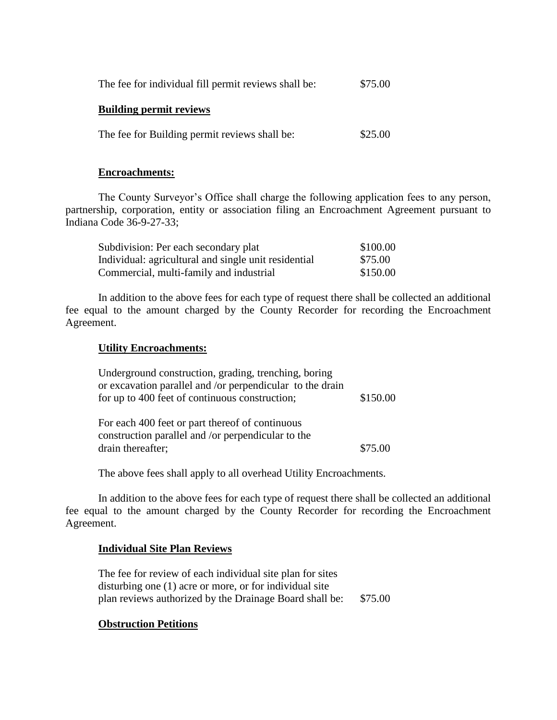| The fee for individual fill permit reviews shall be: | \$75.00 |
|------------------------------------------------------|---------|
| <b>Building permit reviews</b>                       |         |
| The fee for Building permit reviews shall be:        | \$25.00 |

#### **Encroachments:**

The County Surveyor's Office shall charge the following application fees to any person, partnership, corporation, entity or association filing an Encroachment Agreement pursuant to Indiana Code 36-9-27-33;

| Subdivision: Per each secondary plat                 | \$100.00 |
|------------------------------------------------------|----------|
| Individual: agricultural and single unit residential | \$75.00  |
| Commercial, multi-family and industrial              | \$150.00 |

In addition to the above fees for each type of request there shall be collected an additional fee equal to the amount charged by the County Recorder for recording the Encroachment Agreement.

#### **Utility Encroachments:**

Underground construction, grading, trenching, boring or excavation parallel and /or perpendicular to the drain for up to 400 feet of continuous construction;  $$150.00$ 

| For each 400 feet or part thereof of continuous    |         |
|----------------------------------------------------|---------|
| construction parallel and /or perpendicular to the |         |
| drain thereafter;                                  | \$75.00 |

The above fees shall apply to all overhead Utility Encroachments.

In addition to the above fees for each type of request there shall be collected an additional fee equal to the amount charged by the County Recorder for recording the Encroachment Agreement.

#### **Individual Site Plan Reviews**

The fee for review of each individual site plan for sites disturbing one (1) acre or more, or for individual site plan reviews authorized by the Drainage Board shall be: \$75.00

#### **Obstruction Petitions**